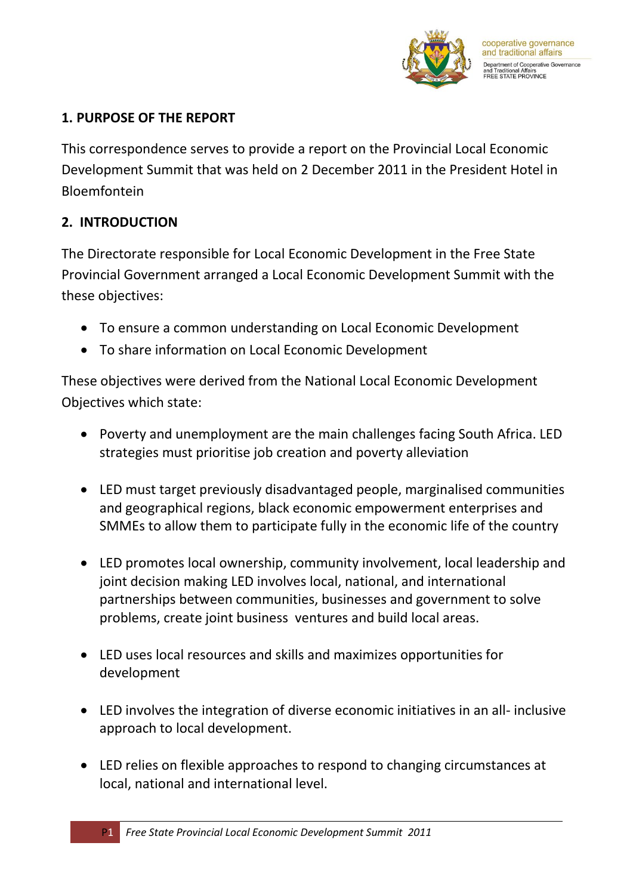

## **1. PURPOSE OF THE REPORT**

This correspondence serves to provide a report on the Provincial Local Economic Development Summit that was held on 2 December 2011 in the President Hotel in Bloemfontein

## **2. INTRODUCTION**

The Directorate responsible for Local Economic Development in the Free State Provincial Government arranged a Local Economic Development Summit with the these objectives:

- To ensure a common understanding on Local Economic Development
- To share information on Local Economic Development

These objectives were derived from the National Local Economic Development Objectives which state:

- Poverty and unemployment are the main challenges facing South Africa. LED strategies must prioritise job creation and poverty alleviation
- LED must target previously disadvantaged people, marginalised communities and geographical regions, black economic empowerment enterprises and SMMEs to allow them to participate fully in the economic life of the country
- LED promotes local ownership, community involvement, local leadership and joint decision making LED involves local, national, and international partnerships between communities, businesses and government to solve problems, create joint business ventures and build local areas.
- LED uses local resources and skills and maximizes opportunities for development
- LED involves the integration of diverse economic initiatives in an all- inclusive approach to local development.
- LED relies on flexible approaches to respond to changing circumstances at local, national and international level.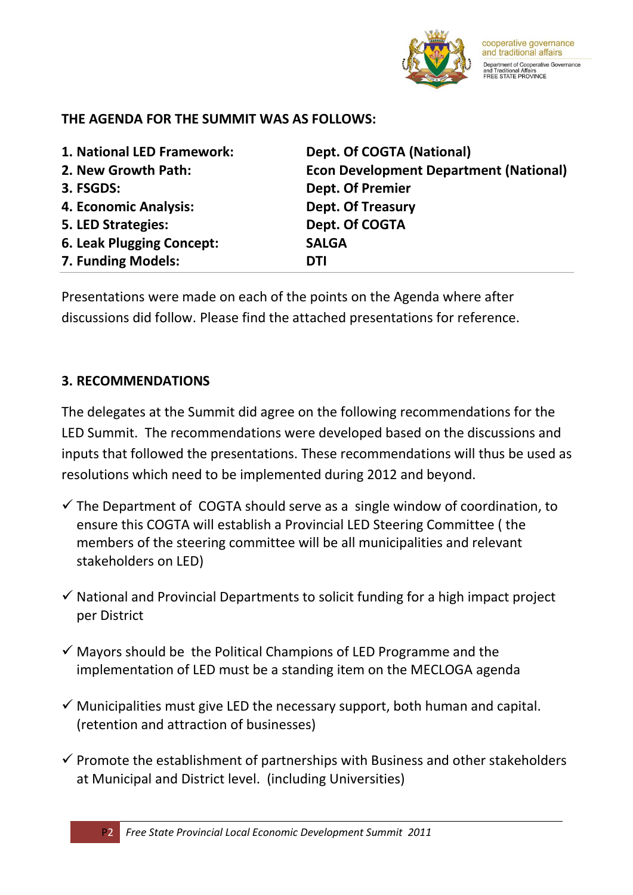

## **THE AGENDA FOR THE SUMMIT WAS AS FOLLOWS:**

| 1. National LED Framework:       | <b>Dept. Of COGTA (National)</b>              |
|----------------------------------|-----------------------------------------------|
| 2. New Growth Path:              | <b>Econ Development Department (National)</b> |
| 3. FSGDS:                        | <b>Dept. Of Premier</b>                       |
| 4. Economic Analysis:            | <b>Dept. Of Treasury</b>                      |
| 5. LED Strategies:               | Dept. Of COGTA                                |
| <b>6. Leak Plugging Concept:</b> | <b>SALGA</b>                                  |
| 7. Funding Models:               | DTI                                           |

Presentations were made on each of the points on the Agenda where after discussions did follow. Please find the attached presentations for reference.

## **3. RECOMMENDATIONS**

The delegates at the Summit did agree on the following recommendations for the LED Summit. The recommendations were developed based on the discussions and inputs that followed the presentations. These recommendations will thus be used as resolutions which need to be implemented during 2012 and beyond.

- $\checkmark$  The Department of COGTA should serve as a single window of coordination, to ensure this COGTA will establish a Provincial LED Steering Committee ( the members of the steering committee will be all municipalities and relevant stakeholders on LED)
- $\checkmark$  National and Provincial Departments to solicit funding for a high impact project per District
- $\checkmark$  Mayors should be the Political Champions of LED Programme and the implementation of LED must be a standing item on the MECLOGA agenda
- $\checkmark$  Municipalities must give LED the necessary support, both human and capital. (retention and attraction of businesses)
- $\checkmark$  Promote the establishment of partnerships with Business and other stakeholders at Municipal and District level. (including Universities)